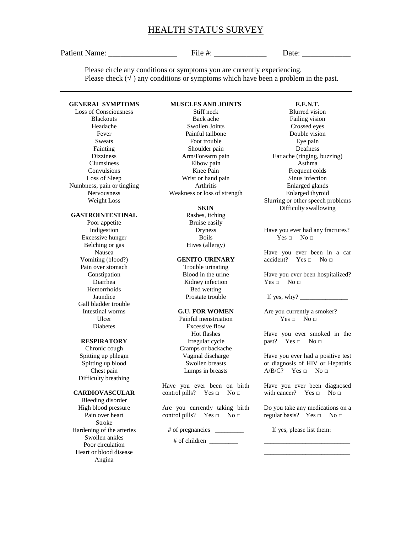# HEALTH STATUS SURVEY

Patient Name: File #:  $\qquad \qquad$  File #:  $\qquad \qquad$  Date:

**E.E.N.T.** Blurred vision

Please circle any conditions or symptoms you are currently experiencing. Please check  $(\sqrt{})$  any conditions or symptoms which have been a problem in the past.

# **GENERAL SYMPTOMS**

Loss of Consciousness Blackouts Headache Fever Sweats Fainting **Dizziness** Clumsiness Convulsions Loss of Sleep Numbness, pain or tingling Nervousness Weight Loss

#### **GASTROINTESTINAL**

Poor appetite Indigestion Excessive hunger Belching or gas Nausea Vomiting (blood?) Pain over stomach Constipation Diarrhea Hemorrhoids Jaundice Gall bladder trouble Intestinal worms Ulcer Diabetes

#### **RESPIRATORY**

Chronic cough Spitting up phlegm Spitting up blood Chest pain Difficulty breathing

## **CARDIOVASCULAR**

Bleeding disorder High blood pressure Pain over heart Stroke Hardening of the arteries Swollen ankles Poor circulation Heart or blood disease Angina

# **MUSCLES AND JOINTS**

Stiff neck Back ache Swollen Joints Painful tailbone Foot trouble Shoulder pain Arm/Forearm pain Elbow pain Knee Pain Wrist or hand pain Arthritis Weakness or loss of strength

#### **SKIN**

Rashes, itching Bruise easily Dryness Boils Hives (allergy)

#### **GENITO-URINARY**

Trouble urinating Blood in the urine Kidney infection Bed wetting Prostate trouble

# **G.U. FOR WOMEN**

Painful menstruation Excessive flow Hot flashes Irregular cycle Cramps or backache Vaginal discharge Swollen breasts Lumps in breasts

Have you ever been on birth control pills? Yes  $\Box$  No  $\Box$ 

Are you currently taking birth control pills? Yes  $\Box$  No  $\Box$ 

# of pregnancies \_\_\_\_\_\_\_\_\_

# of children \_\_\_\_\_\_\_\_\_

Failing vision Crossed eyes Double vision Eye pain Deafness Ear ache (ringing, buzzing) Asthma Frequent colds Sinus infection Enlarged glands Enlarged thyroid Slurring or other speech problems Difficulty swallowing

Have you ever had any fractures?  $Yes \Box \qquad No \Box$ 

Have you ever been in a car accident? Yes  $\Box$  No  $\Box$ 

Have you ever been hospitalized?  $Yes \Box \ No \Box$ 

If yes, why?  $\frac{1}{\sqrt{1-\frac{1}{2}}\sqrt{1-\frac{1}{2}}\sqrt{1-\frac{1}{2}}\sqrt{1-\frac{1}{2}}\sqrt{1-\frac{1}{2}}\sqrt{1-\frac{1}{2}}\sqrt{1-\frac{1}{2}}\sqrt{1-\frac{1}{2}}\sqrt{1-\frac{1}{2}}\sqrt{1-\frac{1}{2}}\sqrt{1-\frac{1}{2}}\sqrt{1-\frac{1}{2}}\sqrt{1-\frac{1}{2}}\sqrt{1-\frac{1}{2}}\sqrt{1-\frac{1}{2}}\sqrt{1-\frac{1}{2}}\sqrt{1-\frac{1}{2}}\sqrt{1-\frac{1}{2}}\sqrt{1$ 

Are you currently a smoker?  $Yes \Box$  No  $\Box$ 

Have you ever smoked in the past? Yes  $\Box$  No  $\Box$ 

Have you ever had a positive test or diagnosis of HIV or Hepatitis  $A/B/C?$  Yes  $\Box$  No  $\Box$ 

Have you ever been diagnosed with cancer? Yes  $\Box$  No  $\Box$ 

Do you take any medications on a regular basis? Yes  $\Box$  No  $\Box$ 

\_\_\_\_\_\_\_\_\_\_\_\_\_\_\_\_\_\_\_\_\_\_\_\_\_\_\_ \_\_\_\_\_\_\_\_\_\_\_\_\_\_\_\_\_\_\_\_\_\_\_\_\_\_\_

If yes, please list them: